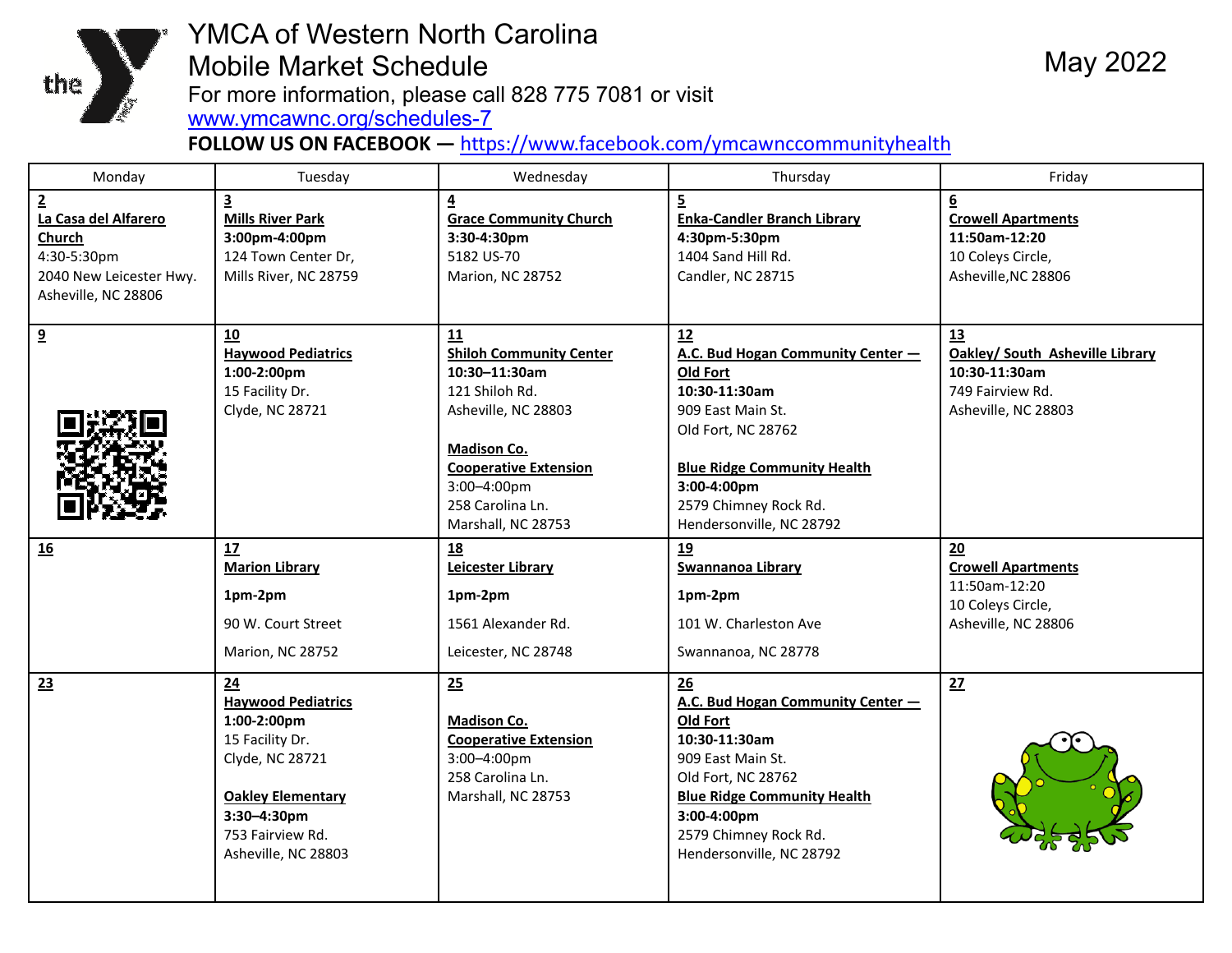

## YMCA of Western North Carolina Mobile Market Schedule For more information, please call 828 775 7081 or visit<br>www.ymcawnc.org/schedules-7

**FOLLOW US ON FACEBOOK —** https://www.facebook.com/ymcawnccommunityhealth

May 2022

| Monday                                                                                                                   | Tuesday                                                                                                                                                                            | Wednesday                                                                                                                                                                                                          | Thursday                                                                                                                                                                                                                         | Friday                                                                                                     |
|--------------------------------------------------------------------------------------------------------------------------|------------------------------------------------------------------------------------------------------------------------------------------------------------------------------------|--------------------------------------------------------------------------------------------------------------------------------------------------------------------------------------------------------------------|----------------------------------------------------------------------------------------------------------------------------------------------------------------------------------------------------------------------------------|------------------------------------------------------------------------------------------------------------|
| $\overline{2}$<br>La Casa del Alfarero<br><b>Church</b><br>4:30-5:30pm<br>2040 New Leicester Hwy.<br>Asheville, NC 28806 | $\overline{\mathbf{3}}$<br><b>Mills River Park</b><br>3:00pm-4:00pm<br>124 Town Center Dr,<br>Mills River, NC 28759                                                                | $\overline{4}$<br><b>Grace Community Church</b><br>3:30-4:30pm<br>5182 US-70<br>Marion, NC 28752                                                                                                                   | 5<br><b>Enka-Candler Branch Library</b><br>4:30pm-5:30pm<br>1404 Sand Hill Rd.<br>Candler, NC 28715                                                                                                                              | $6 \overline{6}$<br><b>Crowell Apartments</b><br>11:50am-12:20<br>10 Coleys Circle,<br>Asheville, NC 28806 |
| 9                                                                                                                        | 10<br><b>Haywood Pediatrics</b><br>1:00-2:00pm<br>15 Facility Dr.<br>Clyde, NC 28721                                                                                               | 11<br><b>Shiloh Community Center</b><br>$10:30 - 11:30$ am<br>121 Shiloh Rd.<br>Asheville, NC 28803<br><b>Madison Co.</b><br><b>Cooperative Extension</b><br>3:00-4:00pm<br>258 Carolina Ln.<br>Marshall, NC 28753 | 12<br>A.C. Bud Hogan Community Center -<br>Old Fort<br>10:30-11:30am<br>909 East Main St.<br>Old Fort, NC 28762<br><b>Blue Ridge Community Health</b><br>3:00-4:00pm<br>2579 Chimney Rock Rd.<br>Hendersonville, NC 28792        | 13<br>Oakley/ South Asheville Library<br>10:30-11:30am<br>749 Fairview Rd.<br>Asheville, NC 28803          |
| 16                                                                                                                       | 17<br><b>Marion Library</b><br>1pm-2pm<br>90 W. Court Street<br>Marion, NC 28752                                                                                                   | <u>18</u><br>Leicester Library<br>1pm-2pm<br>1561 Alexander Rd.<br>Leicester, NC 28748                                                                                                                             | 19<br><b>Swannanoa Library</b><br>1pm-2pm<br>101 W. Charleston Ave<br>Swannanoa, NC 28778                                                                                                                                        | 20<br><b>Crowell Apartments</b><br>11:50am-12:20<br>10 Coleys Circle,<br>Asheville, NC 28806               |
| 23                                                                                                                       | 24<br><b>Haywood Pediatrics</b><br>$1:00-2:00$ pm<br>15 Facility Dr.<br>Clyde, NC 28721<br><b>Oakley Elementary</b><br>$3:30 - 4:30$ pm<br>753 Fairview Rd.<br>Asheville, NC 28803 | 25<br><b>Madison Co.</b><br><b>Cooperative Extension</b><br>3:00-4:00pm<br>258 Carolina Ln.<br>Marshall, NC 28753                                                                                                  | 26<br>A.C. Bud Hogan Community Center -<br><b>Old Fort</b><br>10:30-11:30am<br>909 East Main St.<br>Old Fort, NC 28762<br><b>Blue Ridge Community Health</b><br>3:00-4:00pm<br>2579 Chimney Rock Rd.<br>Hendersonville, NC 28792 | 27                                                                                                         |